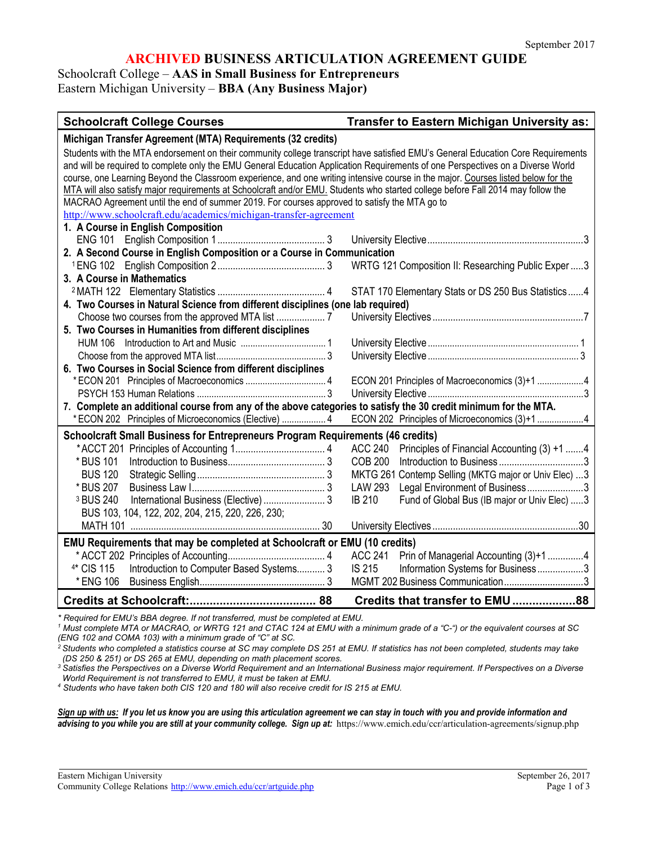#### **ARCHIVED BUSINESS ARTICULATION AGREEMENT GUIDE**

Schoolcraft College – **AAS in Small Business for Entrepreneurs** Eastern Michigan University – **BBA (Any Business Major)**

| <b>Schoolcraft College Courses</b>                                                                                                                                                                                                                                                                                                                                                                                                                                                                                                                                                                                                           | Transfer to Eastern Michigan University as:                                                                                                                                                                                                        |
|----------------------------------------------------------------------------------------------------------------------------------------------------------------------------------------------------------------------------------------------------------------------------------------------------------------------------------------------------------------------------------------------------------------------------------------------------------------------------------------------------------------------------------------------------------------------------------------------------------------------------------------------|----------------------------------------------------------------------------------------------------------------------------------------------------------------------------------------------------------------------------------------------------|
| Michigan Transfer Agreement (MTA) Requirements (32 credits)                                                                                                                                                                                                                                                                                                                                                                                                                                                                                                                                                                                  |                                                                                                                                                                                                                                                    |
| Students with the MTA endorsement on their community college transcript have satisfied EMU's General Education Core Requirements<br>and will be required to complete only the EMU General Education Application Requirements of one Perspectives on a Diverse World<br>course, one Learning Beyond the Classroom experience, and one writing intensive course in the major. Courses listed below for the<br>MTA will also satisfy major requirements at Schoolcraft and/or EMU. Students who started college before Fall 2014 may follow the<br>MACRAO Agreement until the end of summer 2019. For courses approved to satisfy the MTA go to |                                                                                                                                                                                                                                                    |
| http://www.schoolcraft.edu/academics/michigan-transfer-agreement                                                                                                                                                                                                                                                                                                                                                                                                                                                                                                                                                                             |                                                                                                                                                                                                                                                    |
| 1. A Course in English Composition<br>2. A Second Course in English Composition or a Course in Communication                                                                                                                                                                                                                                                                                                                                                                                                                                                                                                                                 |                                                                                                                                                                                                                                                    |
| 3. A Course in Mathematics                                                                                                                                                                                                                                                                                                                                                                                                                                                                                                                                                                                                                   | WRTG 121 Composition II: Researching Public Exper 3                                                                                                                                                                                                |
| 4. Two Courses in Natural Science from different disciplines (one lab required)                                                                                                                                                                                                                                                                                                                                                                                                                                                                                                                                                              | STAT 170 Elementary Stats or DS 250 Bus Statistics4                                                                                                                                                                                                |
| 5. Two Courses in Humanities from different disciplines                                                                                                                                                                                                                                                                                                                                                                                                                                                                                                                                                                                      |                                                                                                                                                                                                                                                    |
|                                                                                                                                                                                                                                                                                                                                                                                                                                                                                                                                                                                                                                              |                                                                                                                                                                                                                                                    |
| 6. Two Courses in Social Science from different disciplines                                                                                                                                                                                                                                                                                                                                                                                                                                                                                                                                                                                  |                                                                                                                                                                                                                                                    |
|                                                                                                                                                                                                                                                                                                                                                                                                                                                                                                                                                                                                                                              | ECON 201 Principles of Macroeconomics (3)+1 4                                                                                                                                                                                                      |
| 7. Complete an additional course from any of the above categories to satisfy the 30 credit minimum for the MTA.<br>* ECON 202 Principles of Microeconomics (Elective)  4                                                                                                                                                                                                                                                                                                                                                                                                                                                                     | ECON 202 Principles of Microeconomics (3)+1 4                                                                                                                                                                                                      |
| Schoolcraft Small Business for Entrepreneurs Program Requirements (46 credits)<br>* BUS 101<br><b>BUS 120</b><br>* BUS 207<br><sup>3</sup> BUS 240<br>International Business (Elective)  3<br>BUS 103, 104, 122, 202, 204, 215, 220, 226, 230;                                                                                                                                                                                                                                                                                                                                                                                               | ACC 240 Principles of Financial Accounting (3) +1 4<br><b>COB 200</b><br>MKTG 261 Contemp Selling (MKTG major or Univ Elec) 3<br><b>LAW 293</b><br>Legal Environment of Business3<br><b>IB 210</b><br>Fund of Global Bus (IB major or Univ Elec) 3 |
|                                                                                                                                                                                                                                                                                                                                                                                                                                                                                                                                                                                                                                              |                                                                                                                                                                                                                                                    |
| EMU Requirements that may be completed at Schoolcraft or EMU (10 credits)<br>4* CIS 115<br>Introduction to Computer Based Systems 3<br>* ENG 106                                                                                                                                                                                                                                                                                                                                                                                                                                                                                             | ACC 241 Prin of Managerial Accounting (3)+1 4<br>IS 215<br>Information Systems for Business3<br>MGMT 202 Business Communication3                                                                                                                   |
|                                                                                                                                                                                                                                                                                                                                                                                                                                                                                                                                                                                                                                              | Credits that transfer to EMU 88                                                                                                                                                                                                                    |

*\* Required for EMU's BBA degree. If not transferred, must be completed at EMU.*

*<sup>1</sup> Must complete MTA or MACRAO, or WRTG 121 and CTAC 124 at EMU with a minimum grade of a "C-") or the equivalent courses at SC (ENG 102 and COMA 103) with a minimum grade of "C" at SC.*

*2 Students who completed a statistics course at SC may complete DS 251 at EMU. If statistics has not been completed, students may take (DS 250 & 251) or DS 265 at EMU, depending on math placement scores.*

*<sup>3</sup> Satisfies the Perspectives on a Diverse World Requirement and an International Business major requirement. If Perspectives on a Diverse World Requirement is not transferred to EMU, it must be taken at EMU.*

*<sup>4</sup> Students who have taken both CIS 120 and 180 will also receive credit for IS 215 at EMU.*

*Sign up with us: If you let us know you are using this articulation agreement we can stay in touch with you and provide information and*  advising to you while you are still at your community college. Sign up at: https://www.emich.edu/ccr/articulation-agreements/signup.php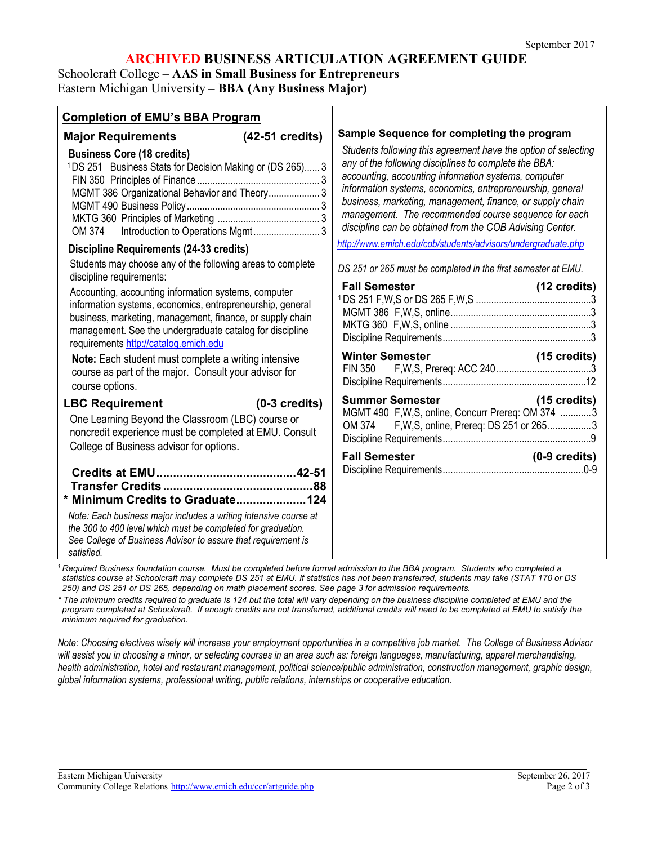#### **ARCHIVED BUSINESS ARTICULATION AGREEMENT GUIDE**

Schoolcraft College – **AAS in Small Business for Entrepreneurs** Eastern Michigan University – **BBA (Any Business Major)**

| <b>Completion of EMU's BBA Program</b>                                                                                                                                                                                                                                                                                                       |                                                                                                                                                                                                                                                                                                                                                                                                                                                                             |
|----------------------------------------------------------------------------------------------------------------------------------------------------------------------------------------------------------------------------------------------------------------------------------------------------------------------------------------------|-----------------------------------------------------------------------------------------------------------------------------------------------------------------------------------------------------------------------------------------------------------------------------------------------------------------------------------------------------------------------------------------------------------------------------------------------------------------------------|
| Major Requirements (42-51 credits)<br><b>Business Core (18 credits)</b><br><sup>1</sup> DS 251 Business Stats for Decision Making or (DS 265) 3<br>MGMT 386 Organizational Behavior and Theory 3<br>OM 374                                                                                                                                   | Sample Sequence for completing the program<br>Students following this agreement have the option of selecting<br>any of the following disciplines to complete the BBA:<br>accounting, accounting information systems, computer<br>information systems, economics, entrepreneurship, general<br>business, marketing, management, finance, or supply chain<br>management. The recommended course sequence for each<br>discipline can be obtained from the COB Advising Center. |
| <b>Discipline Requirements (24-33 credits)</b>                                                                                                                                                                                                                                                                                               | http://www.emich.edu/cob/students/advisors/undergraduate.php                                                                                                                                                                                                                                                                                                                                                                                                                |
| Students may choose any of the following areas to complete<br>discipline requirements:                                                                                                                                                                                                                                                       | DS 251 or 265 must be completed in the first semester at EMU.                                                                                                                                                                                                                                                                                                                                                                                                               |
| Accounting, accounting information systems, computer<br>information systems, economics, entrepreneurship, general<br>business, marketing, management, finance, or supply chain<br>management. See the undergraduate catalog for discipline<br>requirements http://catalog.emich.edu                                                          | <b>Fall Semester</b><br>(12 credits)                                                                                                                                                                                                                                                                                                                                                                                                                                        |
| Note: Each student must complete a writing intensive<br>course as part of the major. Consult your advisor for<br>course options.                                                                                                                                                                                                             | <b>Winter Semester</b><br>$(15 \text{ credits})$<br><b>FIN 350</b>                                                                                                                                                                                                                                                                                                                                                                                                          |
| $(0-3 \text{ credits})$<br><b>LBC Requirement</b><br>One Learning Beyond the Classroom (LBC) course or<br>noncredit experience must be completed at EMU. Consult<br>College of Business advisor for options.                                                                                                                                 | <b>Summer Semester Summer Semester</b><br>$(15 \text{ credits})$<br>MGMT 490 F, W, S, online, Concurr Prereq: OM 374 3<br>OM 374 F, W, S, online, Prereq: DS 251 or 2653<br><b>Fall Semester</b><br>$(0-9 \text{ credits})$                                                                                                                                                                                                                                                 |
| * Minimum Credits to Graduate124                                                                                                                                                                                                                                                                                                             |                                                                                                                                                                                                                                                                                                                                                                                                                                                                             |
| Note: Each business major includes a writing intensive course at<br>the 300 to 400 level which must be completed for graduation.<br>See College of Business Advisor to assure that requirement is<br>satisfied.<br>Required Business foundation course Must be completed before formal admission to the BBA program Students who completed a |                                                                                                                                                                                                                                                                                                                                                                                                                                                                             |

*<sup>1</sup> Required Business foundation course. Must be completed before formal admission to the BBA program. Students who completed a statistics course at Schoolcraft may complete DS 251 at EMU. If statistics has not been transferred, students may take (STAT 170 or DS 250) and DS 251 or DS 265, depending on math placement scores. See page 3 for admission requirements.*

*\* The minimum credits required to graduate is 124 but the total will vary depending on the business discipline completed at EMU and the program completed at Schoolcraft. If enough credits are not transferred, additional credits will need to be completed at EMU to satisfy the minimum required for graduation.*

*Note: Choosing electives wisely will increase your employment opportunities in a competitive job market. The College of Business Advisor will assist you in choosing a minor, or selecting courses in an area such as: foreign languages, manufacturing, apparel merchandising, health administration, hotel and restaurant management, political science/public administration, construction management, graphic design, global information systems, professional writing, public relations, internships or cooperative education.*